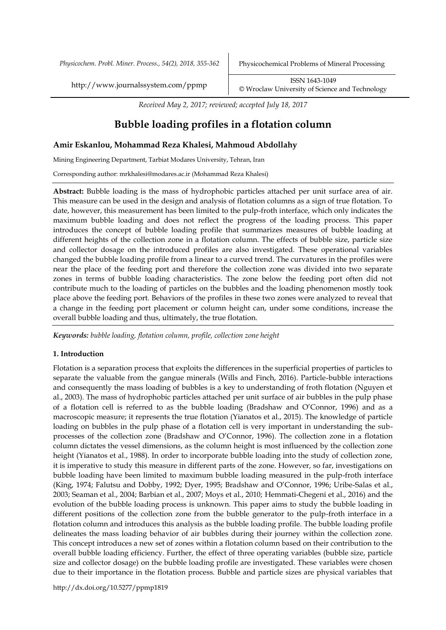*Physicochem. Probl. Miner. Process., 54(2), 2018, 355-362* Physicochemical Problems of Mineral Processing

http://www.journalssystem.com/ppmp ISSN 1643-1049 [©](http://www.minproc.pwr.wroc.pl/journal/) Wroclaw University of Science and Technology

*Received May 2, 2017; reviewed; accepted July 18, 2017*

# **Bubble loading profiles in a flotation column**

## **Amir Eskanlou, Mohammad Reza Khalesi, Mahmoud Abdollahy**

Mining Engineering Department, Tarbiat Modares University, Tehran, Iran

Corresponding author: mrkhalesi@modares.ac.ir (Mohammad Reza Khalesi)

**Abstract:** Bubble loading is the mass of hydrophobic particles attached per unit surface area of air. This measure can be used in the design and analysis of flotation columns as a sign of true flotation. To date, however, this measurement has been limited to the pulp-froth interface, which only indicates the maximum bubble loading and does not reflect the progress of the loading process. This paper introduces the concept of bubble loading profile that summarizes measures of bubble loading at different heights of the collection zone in a flotation column. The effects of bubble size, particle size and collector dosage on the introduced profiles are also investigated. These operational variables changed the bubble loading profile from a linear to a curved trend. The curvatures in the profiles were near the place of the feeding port and therefore the collection zone was divided into two separate zones in terms of bubble loading characteristics. The zone below the feeding port often did not contribute much to the loading of particles on the bubbles and the loading phenomenon mostly took place above the feeding port. Behaviors of the profiles in these two zones were analyzed to reveal that a change in the feeding port placement or column height can, under some conditions, increase the overall bubble loading and thus, ultimately, the true flotation.

*Keywords: bubble loading, flotation column, profile, collection zone height*

## **1. Introduction**

Flotation is a separation process that exploits the differences in the superficial properties of particles to separate the valuable from the gangue minerals (Wills and Finch, 2016). Particle-bubble interactions and consequently the mass loading of bubbles is a key to understanding of froth flotation (Nguyen et al., 2003). The mass of hydrophobic particles attached per unit surface of air bubbles in the pulp phase of a flotation cell is referred to as the bubble loading (Bradshaw and O'Connor, 1996) and as a macroscopic measure; it represents the true flotation (Yianatos et al., 2015). The knowledge of particle loading on bubbles in the pulp phase of a flotation cell is very important in understanding the subprocesses of the collection zone (Bradshaw and O'Connor, 1996). The collection zone in a flotation column dictates the vessel dimensions, as the column height is most influenced by the collection zone height (Yianatos et al., 1988). In order to incorporate bubble loading into the study of collection zone, it is imperative to study this measure in different parts of the zone. However, so far, investigations on bubble loading have been limited to maximum bubble loading measured in the pulp-froth interface (King, 1974; Falutsu and Dobby, 1992; Dyer, 1995; Bradshaw and O'Connor, 1996; Uribe-Salas et al., 2003; Seaman et al., 2004; Barbian et al., 2007; Moys et al., 2010; Hemmati-Chegeni et al., 2016) and the evolution of the bubble loading process is unknown. This paper aims to study the bubble loading in different positions of the collection zone from the bubble generator to the pulp-froth interface in a flotation column and introduces this analysis as the bubble loading profile. The bubble loading profile delineates the mass loading behavior of air bubbles during their journey within the collection zone. This concept introduces a new set of zones within a flotation column based on their contribution to the overall bubble loading efficiency. Further, the effect of three operating variables (bubble size, particle size and collector dosage) on the bubble loading profile are investigated. These variables were chosen due to their importance in the flotation process. Bubble and particle sizes are physical variables that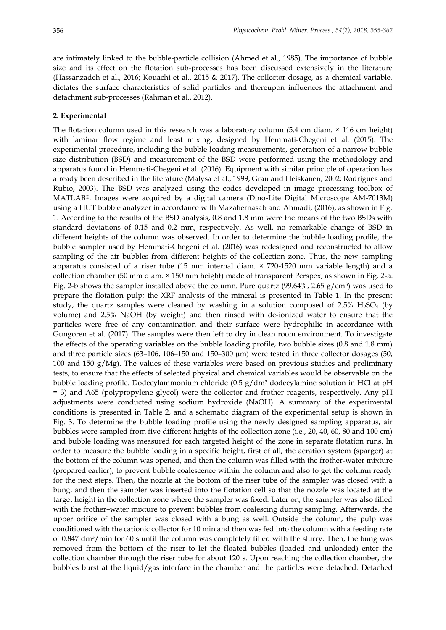are intimately linked to the bubble-particle collision (Ahmed et al., 1985). The importance of bubble size and its effect on the flotation sub-processes has been discussed extensively in the literature (Hassanzadeh et al., 2016; Kouachi et al., 2015 & 2017). The collector dosage, as a chemical variable, dictates the surface characteristics of solid particles and thereupon influences the attachment and detachment sub-processes (Rahman et al., 2012).

### **2. Experimental**

The flotation column used in this research was a laboratory column (5.4 cm diam. × 116 cm height) with laminar flow regime and least mixing, designed by Hemmati-Chegeni et al. (2015). The experimental procedure, including the bubble loading measurements, generation of a narrow bubble size distribution (BSD) and measurement of the BSD were performed using the methodology and apparatus found in Hemmati-Chegeni et al. (2016). Equipment with similar principle of operation has already been described in the literature (Malysa et al., 1999; Grau and Heiskanen, 2002; Rodrigues and Rubio, 2003). The BSD was analyzed using the codes developed in image processing toolbox of MATLAB®. Images were acquired by a digital camera (Dino-Lite Digital Microscope AM-7013M) using a HUT bubble analyzer in accordance with Mazahernasab and Ahmadi, (2016), as shown in Fig. 1. According to the results of the BSD analysis, 0.8 and 1.8 mm were the means of the two BSDs with standard deviations of 0.15 and 0.2 mm, respectively. As well, no remarkable change of BSD in different heights of the column was observed. In order to determine the bubble loading profile, the bubble sampler used by Hemmati-Chegeni et al. (2016) was redesigned and reconstructed to allow sampling of the air bubbles from different heights of the collection zone. Thus, the new sampling apparatus consisted of a riser tube (15 mm internal diam.  $\times$  720-1520 mm variable length) and a collection chamber (50 mm diam. × 150 mm height) made of transparent Perspex, as shown in Fig. 2-a. Fig. 2-b shows the sampler installed above the column. Pure quartz (99.64%, 2.65 g/cm<sup>3</sup>) was used to prepare the flotation pulp; the XRF analysis of the mineral is presented in Table 1. In the present study, the quartz samples were cleaned by washing in a solution composed of  $2.5\%$  H<sub>2</sub>SO<sub>4</sub> (by volume) and 2.5% NaOH (by weight) and then rinsed with de-ionized water to ensure that the particles were free of any contamination and their surface were hydrophilic in accordance with Gungoren et al. (2017). The samples were then left to dry in clean room environment. To investigate the effects of the operating variables on the bubble loading profile, two bubble sizes (0.8 and 1.8 mm) and three particle sizes (63–106, 106–150 and 150–300 µm) were tested in three collector dosages (50, 100 and 150  $g/Mg$ ). The values of these variables were based on previous studies and preliminary tests, to ensure that the effects of selected physical and chemical variables would be observable on the bubble loading profile. Dodecylammonium chloride (0.5 g/dm<sup>3</sup> dodecylamine solution in HCl at pH = 3) and A65 (polypropylene glycol) were the collector and frother reagents, respectively. Any pH adjustments were conducted using sodium hydroxide (NaOH). A summary of the experimental conditions is presented in Table 2, and a schematic diagram of the experimental setup is shown in Fig. 3. To determine the bubble loading profile using the newly designed sampling apparatus, air bubbles were sampled from five different heights of the collection zone (i.e., 20, 40, 60, 80 and 100 cm) and bubble loading was measured for each targeted height of the zone in separate flotation runs. In order to measure the bubble loading in a specific height, first of all, the aeration system (sparger) at the bottom of the column was opened, and then the column was filled with the frother-water mixture (prepared earlier), to prevent bubble coalescence within the column and also to get the column ready for the next steps. Then, the nozzle at the bottom of the riser tube of the sampler was closed with a bung, and then the sampler was inserted into the flotation cell so that the nozzle was located at the target height in the collection zone where the sampler was fixed. Later on, the sampler was also filled with the frother–water mixture to prevent bubbles from coalescing during sampling. Afterwards, the upper orifice of the sampler was closed with a bung as well. Outside the column, the pulp was conditioned with the cationic collector for 10 min and then was fed into the column with a feeding rate of 0.847 dm3/min for 60 s until the column was completely filled with the slurry. Then, the bung was removed from the bottom of the riser to let the floated bubbles (loaded and unloaded) enter the collection chamber through the riser tube for about 120 s. Upon reaching the collection chamber, the bubbles burst at the liquid/gas interface in the chamber and the particles were detached. Detached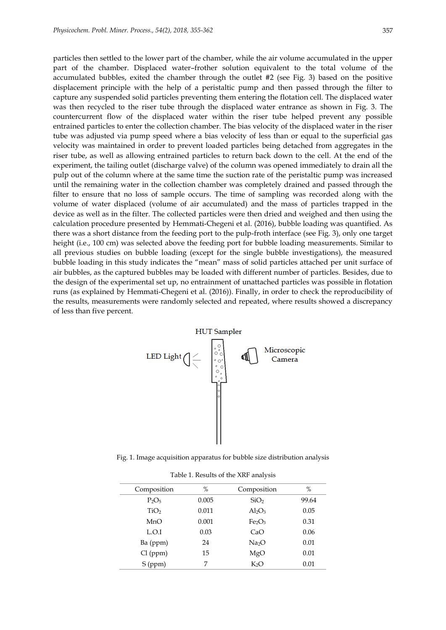particles then settled to the lower part of the chamber, while the air volume accumulated in the upper part of the chamber. Displaced water–frother solution equivalent to the total volume of the accumulated bubbles, exited the chamber through the outlet #2 (see Fig. 3) based on the positive displacement principle with the help of a peristaltic pump and then passed through the filter to capture any suspended solid particles preventing them entering the flotation cell. The displaced water was then recycled to the riser tube through the displaced water entrance as shown in Fig. 3. The countercurrent flow of the displaced water within the riser tube helped prevent any possible entrained particles to enter the collection chamber. The bias velocity of the displaced water in the riser tube was adjusted via pump speed where a bias velocity of less than or equal to the superficial gas velocity was maintained in order to prevent loaded particles being detached from aggregates in the riser tube, as well as allowing entrained particles to return back down to the cell. At the end of the experiment, the tailing outlet (discharge valve) of the column was opened immediately to drain all the pulp out of the column where at the same time the suction rate of the peristaltic pump was increased until the remaining water in the collection chamber was completely drained and passed through the filter to ensure that no loss of sample occurs. The time of sampling was recorded along with the volume of water displaced (volume of air accumulated) and the mass of particles trapped in the device as well as in the filter. The collected particles were then dried and weighed and then using the calculation procedure presented by Hemmati-Chegeni et al. (2016), bubble loading was quantified. As there was a short distance from the feeding port to the pulp-froth interface (see Fig. 3), only one target height (i.e., 100 cm) was selected above the feeding port for bubble loading measurements. Similar to all previous studies on bubble loading (except for the single bubble investigations), the measured bubble loading in this study indicates the "mean" mass of solid particles attached per unit surface of air bubbles, as the captured bubbles may be loaded with different number of particles. Besides, due to the design of the experimental set up, no entrainment of unattached particles was possible in flotation runs (as explained by Hemmati-Chegeni et al. (2016)). Finally, in order to check the reproducibility of the results, measurements were randomly selected and repeated, where results showed a discrepancy of less than five percent.



Fig. 1. Image acquisition apparatus for bubble size distribution analysis

| Table 1. Results of the XRF analysis |  |
|--------------------------------------|--|
|--------------------------------------|--|

| Composition      | $\%$  | Composition                    | %     |
|------------------|-------|--------------------------------|-------|
| $P_2O_5$         | 0.005 | SiO <sub>2</sub>               | 99.64 |
| TiO <sub>2</sub> | 0.011 | $Al_2O_3$                      | 0.05  |
| MnO              | 0.001 | Fe <sub>2</sub> O <sub>3</sub> | 0.31  |
| L.O.I            | 0.03  | CaO                            | 0.06  |
| Ba (ppm)         | 24    | Na <sub>2</sub> O              | 0.01  |
| Cl (ppm)         | 15    | MgO                            | 0.01  |
| $S$ (ppm)        | 7     | K <sub>2</sub> O               | 0.01  |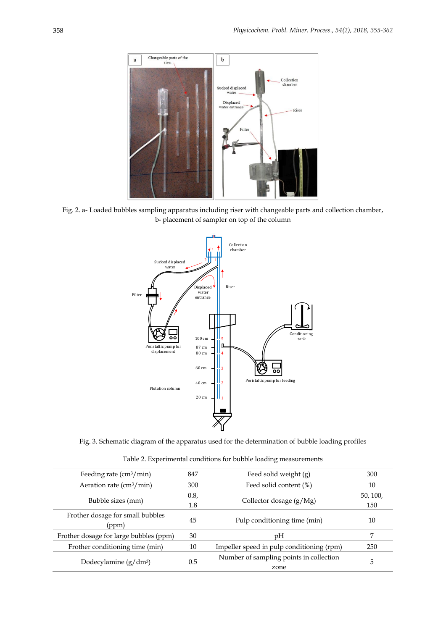

Fig. 2. a- Loaded bubbles sampling apparatus including riser with changeable parts and collection chamber, b- placement of sampler on top of the column



Fig. 3. Schematic diagram of the apparatus used for the determination of bubble loading profiles

Table 2. Experimental conditions for bubble loading measurements

| Feeding rate $\left(\text{cm}^3/\text{min}\right)$ | 847  | Feed solid weight (g)                     | 300      |
|----------------------------------------------------|------|-------------------------------------------|----------|
| Aeration rate $\frac{\text{cm}^3}{\text{min}}$     | 300  | Feed solid content (%)                    | 10       |
| Bubble sizes (mm)                                  | 0.8, | Collector dosage $(g/Mg)$                 | 50, 100, |
|                                                    | 1.8  |                                           | 150      |
| Frother dosage for small bubbles<br>(ppm)          | 45   | Pulp conditioning time (min)              | 10       |
| Frother dosage for large bubbles (ppm)             | 30   | pH                                        | 7        |
| Frother conditioning time (min)                    | 10   | Impeller speed in pulp conditioning (rpm) | 250      |
| Dodecylamine $(g/dm^3)$                            | 0.5  | Number of sampling points in collection   | 5        |
|                                                    |      | zone                                      |          |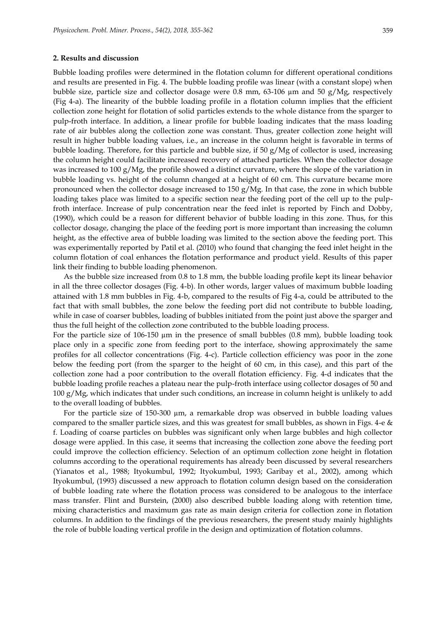#### **2. Results and discussion**

Bubble loading profiles were determined in the flotation column for different operational conditions and results are presented in Fig. 4. The bubble loading profile was linear (with a constant slope) when bubble size, particle size and collector dosage were 0.8 mm, 63-106 µm and 50 g/Mg, respectively (Fig 4-a). The linearity of the bubble loading profile in a flotation column implies that the efficient collection zone height for flotation of solid particles extends to the whole distance from the sparger to pulp-froth interface. In addition, a linear profile for bubble loading indicates that the mass loading rate of air bubbles along the collection zone was constant. Thus, greater collection zone height will result in higher bubble loading values, i.e., an increase in the column height is favorable in terms of bubble loading. Therefore, for this particle and bubble size, if 50 g/Mg of collector is used, increasing the column height could facilitate increased recovery of attached particles. When the collector dosage was increased to 100  $g/Mg$ , the profile showed a distinct curvature, where the slope of the variation in bubble loading vs. height of the column changed at a height of 60 cm. This curvature became more pronounced when the collector dosage increased to 150 g/Mg. In that case, the zone in which bubble loading takes place was limited to a specific section near the feeding port of the cell up to the pulpfroth interface. Increase of pulp concentration near the feed inlet is reported by Finch and Dobby, (1990), which could be a reason for different behavior of bubble loading in this zone. Thus, for this collector dosage, changing the place of the feeding port is more important than increasing the column height, as the effective area of bubble loading was limited to the section above the feeding port. This was experimentally reported by Patil et al. (2010) who found that changing the feed inlet height in the column flotation of coal enhances the flotation performance and product yield. Results of this paper link their finding to bubble loading phenomenon.

As the bubble size increased from 0.8 to 1.8 mm, the bubble loading profile kept its linear behavior in all the three collector dosages (Fig. 4-b). In other words, larger values of maximum bubble loading attained with 1.8 mm bubbles in Fig. 4-b, compared to the results of Fig 4-a, could be attributed to the fact that with small bubbles, the zone below the feeding port did not contribute to bubble loading, while in case of coarser bubbles, loading of bubbles initiated from the point just above the sparger and thus the full height of the collection zone contributed to the bubble loading process.

For the particle size of  $106-150 \mu m$  in the presence of small bubbles  $(0.8 \text{ mm})$ , bubble loading took place only in a specific zone from feeding port to the interface, showing approximately the same profiles for all collector concentrations (Fig. 4-c). Particle collection efficiency was poor in the zone below the feeding port (from the sparger to the height of 60 cm, in this case), and this part of the collection zone had a poor contribution to the overall flotation efficiency. Fig. 4-d indicates that the bubble loading profile reaches a plateau near the pulp-froth interface using collector dosages of 50 and 100 g/Mg, which indicates that under such conditions, an increase in column height is unlikely to add to the overall loading of bubbles.

For the particle size of 150-300 µm, a remarkable drop was observed in bubble loading values compared to the smaller particle sizes, and this was greatest for small bubbles, as shown in Figs. 4-e & f. Loading of coarse particles on bubbles was significant only when large bubbles and high collector dosage were applied. In this case, it seems that increasing the collection zone above the feeding port could improve the collection efficiency. Selection of an optimum collection zone height in flotation columns according to the operational requirements has already been discussed by several researchers (Yianatos et al., 1988; Ityokumbul, 1992; Ityokumbul, 1993; Garibay et al., 2002), among which Ityokumbul, (1993) discussed a new approach to flotation column design based on the consideration of bubble loading rate where the flotation process was considered to be analogous to the interface mass transfer. Flint and Burstein, (2000) also described bubble loading along with retention time, mixing characteristics and maximum gas rate as main design criteria for collection zone in flotation columns. In addition to the findings of the previous researchers, the present study mainly highlights the role of bubble loading vertical profile in the design and optimization of flotation columns.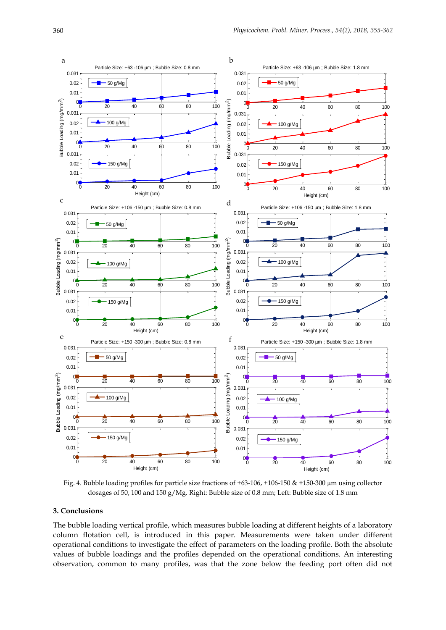

Fig. 4. Bubble loading profiles for particle size fractions of +63-106, +106-150 & +150-300 µm using collector dosages of 50, 100 and 150 g/Mg. Right: Bubble size of 0.8 mm; Left: Bubble size of 1.8 mm

## **3. Conclusions**

The bubble loading vertical profile, which measures bubble loading at different heights of a laboratory column flotation cell, is introduced in this paper. Measurements were taken under different operational conditions to investigate the effect of parameters on the loading profile. Both the absolute values of bubble loadings and the profiles depended on the operational conditions. An interesting observation, common to many profiles, was that the zone below the feeding port often did not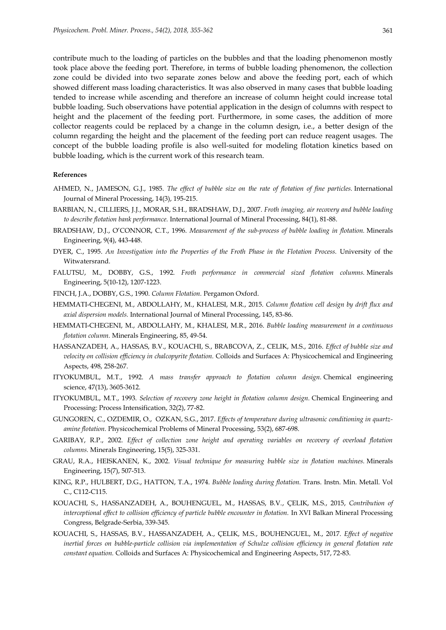contribute much to the loading of particles on the bubbles and that the loading phenomenon mostly took place above the feeding port. Therefore, in terms of bubble loading phenomenon, the collection zone could be divided into two separate zones below and above the feeding port, each of which showed different mass loading characteristics. It was also observed in many cases that bubble loading tended to increase while ascending and therefore an increase of column height could increase total bubble loading. Such observations have potential application in the design of columns with respect to height and the placement of the feeding port. Furthermore, in some cases, the addition of more collector reagents could be replaced by a change in the column design, i.e., a better design of the column regarding the height and the placement of the feeding port can reduce reagent usages. The concept of the bubble loading profile is also well-suited for modeling flotation kinetics based on bubble loading, which is the current work of this research team.

#### **References**

- AHMED, N., JAMESON, G.J., 1985. *The effect of bubble size on the rate of flotation of fine particles.* International Journal of Mineral Processing, 14(3), 195-215.
- BARBIAN, N., CILLIERS, J.J., MORAR, S.H., BRADSHAW, D.J., 2007. *Froth imaging, air recovery and bubble loading to describe flotation bank performance.* International Journal of Mineral Processing, 84(1), 81-88.
- BRADSHAW, D.J., O'CONNOR, C.T., 1996. *Measurement of the sub-process of bubble loading in flotation.* Minerals Engineering, 9(4), 443-448.
- DYER, C., 1995. *An Investigation into the Properties of the Froth Phase in the Flotation Process.* University of the Witwatersrand.
- FALUTSU, M., DOBBY, G.S., 1992. *Froth performance in commercial sized flotation columns.* Minerals Engineering, 5(10-12), 1207-1223.
- FINCH, J.A., DOBBY, G.S., 1990. *Column Flotation.* Pergamon Oxford.
- HEMMATI-CHEGENI, M., ABDOLLAHY, M., KHALESI, M.R., 2015. *Column flotation cell design by drift flux and axial dispersion models.* International Journal of Mineral Processing, 145, 83-86.
- HEMMATI-CHEGENI, M., ABDOLLAHY, M., KHALESI, M.R., 2016. *Bubble loading measurement in a continuous flotation column.* Minerals Engineering, 85, 49-54.
- HASSANZADEH, A., HASSAS, B.V., KOUACHI, S., BRABCOVA, Z., CELIK, M.S., 2016. *Effect of bubble size and velocity on collision efficiency in chalcopyrite flotation.* Colloids and Surfaces A: Physicochemical and Engineering Aspects, 498, 258-267.
- ITYOKUMBUL, M.T., 1992. *A mass transfer approach to flotation column design.* Chemical engineering science, 47(13), 3605-3612.
- ITYOKUMBUL, M.T., 1993. *Selection of recovery zone height in flotation column design.* Chemical Engineering and Processing: Process Intensification, 32(2), 77-82.
- GUNGOREN, C., OZDEMIR, O., OZKAN, S.G., 2017. *Effects of temperature during ultrasonic conditioning in quartzamine flotation.* Physicochemical Problems of Mineral Processing, 53(2), 687-698.
- GARIBAY, R.P., 2002. *Effect of collection zone height and operating variables on recovery of overload flotation columns.* Minerals Engineering, 15(5), 325-331.
- GRAU, R.A., HEISKANEN, K., 2002. *Visual technique for measuring bubble size in flotation machines.* Minerals Engineering, 15(7), 507-513.
- KING, R.P., HULBERT, D.G., HATTON, T.A., 1974. *Bubble loading during flotation.* Trans. Instn. Min. Metall. Vol C., C112-C115.
- KOUACHI, S., HASSANZADEH, A., BOUHENGUEL, M., HASSAS, B.V., ÇELIK, M.S., 2015, *Contribution of interceptional effect to collision efficiency of particle bubble encounter in flotation.* In XVI Balkan Mineral Processing Congress, Belgrade-Serbia, 339-345.
- KOUACHI, S., HASSAS, B.V., HASSANZADEH, A., ÇELIK, M.S., BOUHENGUEL, M., 2017. *Effect of negative inertial forces on bubble-particle collision via implementation of Schulze collision efficiency in general flotation rate constant equation.* Colloids and Surfaces A: Physicochemical and Engineering Aspects, 517, 72-83.